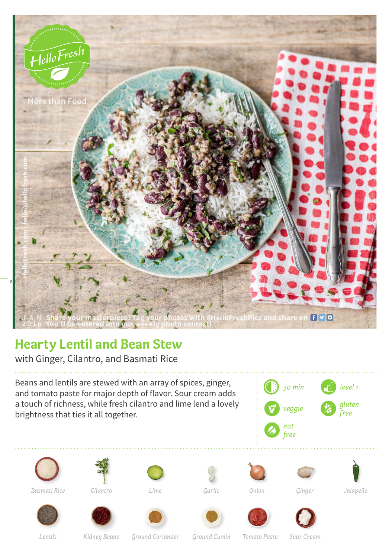

## **Hearty Lentil and Bean Stew**

with Ginger, Cilantro, and Basmati Rice

Beans and lentils are stewed with an array of spices, ginger, and tomato paste for major depth of flavor. Sour cream adds a touch of richness, while fresh cilantro and lime lend a lovely brightness that ties it all together.











*Basmati Rice Cilantro Lime Garlic Onion Ginger*

*Jalapeño*















*Lentils Kidney Beans Ground Coriander Ground Cumin Tomato Paste Sour Cream*